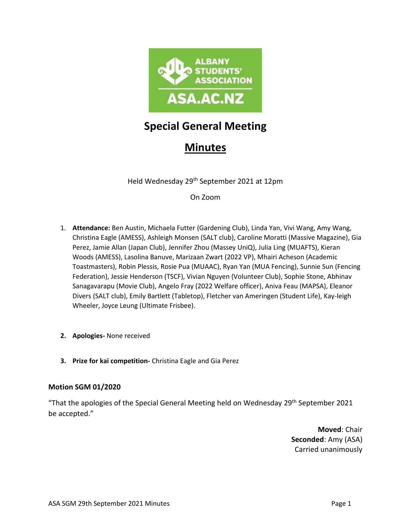

# **Special General Meeting**

# **Minutes**

Held Wednesday 29th September 2021 at 12pm

On Zoom

- 1. **Attendance:** Ben Austin, Michaela Futter (Gardening Club), Linda Yan, Vivi Wang, Amy Wang, Christina Eagle (AMESS), Ashleigh Monsen (SALT club), Caroline Moratti (Massive Magazine), Gia Perez, Jamie Allan (Japan Club), Jennifer Zhou (Massey UniQ), Julia Ling (MUAFTS), Kieran Woods (AMESS), Lasolina Banuve, Marizaan Zwart (2022 VP), Mhairi Acheson (Academic Toastmasters), Robin Plessis, Rosie Pua (MUAAC), Ryan Yan (MUA Fencing), Sunnie Sun (Fencing Federation), Jessie Henderson (TSCF), Vivian Nguyen (Volunteer Club), Sophie Stone, Abhinav Sanagavarapu (Movie Club), Angelo Fray (2022 Welfare officer), Aniva Feau (MAPSA), Eleanor Divers (SALT club), Emily Bartlett (Tabletop), Fletcher van Ameringen (Student Life), Kay-leigh Wheeler, Joyce Leung (Ultimate Frisbee).
- **2. Apologies-** None received
- **3. Prize for kai competition-** Christina Eagle and Gia Perez

## **Motion SGM 01/2020**

"That the apologies of the Special General Meeting held on Wednesday 29th September 2021 be accepted."

> **Moved**: Chair **Seconded**: Amy (ASA) Carried unanimously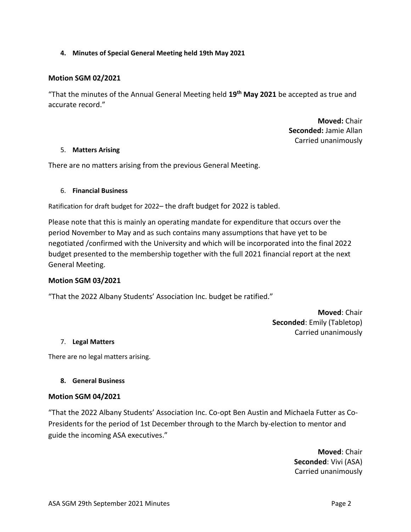### **4. Minutes of Special General Meeting held 19th May 2021**

### **Motion SGM 02/2021**

"That the minutes of the Annual General Meeting held **19th May 2021** be accepted as true and accurate record."

> **Moved:** Chair **Seconded:** Jamie Allan Carried unanimously

#### 5. **Matters Arising**

There are no matters arising from the previous General Meeting.

#### 6. **Financial Business**

Ratification for draft budget for 2022– the draft budget for 2022 is tabled.

Please note that this is mainly an operating mandate for expenditure that occurs over the period November to May and as such contains many assumptions that have yet to be negotiated /confirmed with the University and which will be incorporated into the final 2022 budget presented to the membership together with the full 2021 financial report at the next General Meeting.

#### **Motion SGM 03/2021**

"That the 2022 Albany Students' Association Inc. budget be ratified."

**Moved**: Chair **Seconded**: Emily (Tabletop) Carried unanimously

#### 7. **Legal Matters**

There are no legal matters arising.

#### **8. General Business**

#### **Motion SGM 04/2021**

"That the 2022 Albany Students' Association Inc. Co-opt Ben Austin and Michaela Futter as Co-Presidents for the period of 1st December through to the March by-election to mentor and guide the incoming ASA executives."

> **Moved**: Chair **Seconded**: Vivi (ASA) Carried unanimously